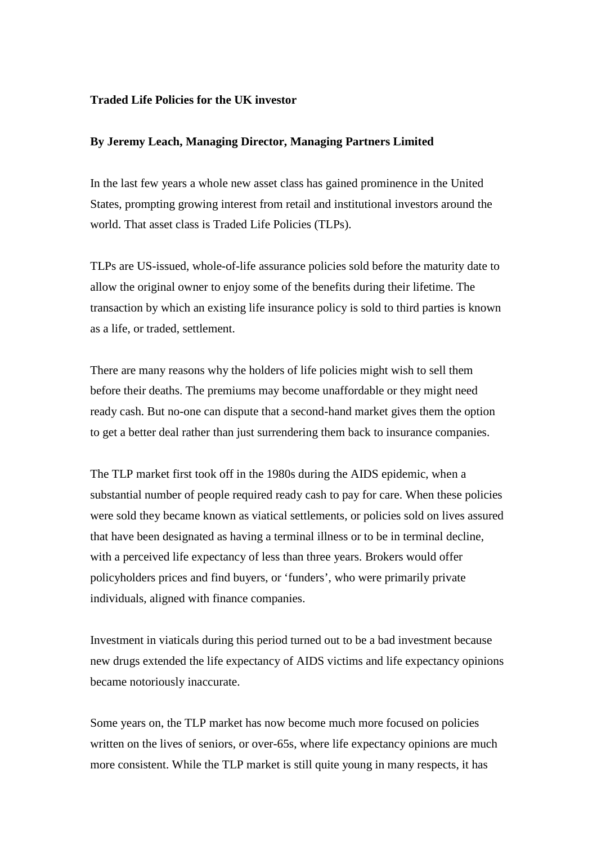## **Traded Life Policies for the UK investor**

## **By Jeremy Leach, Managing Director, Managing Partners Limited**

In the last few years a whole new asset class has gained prominence in the United States, prompting growing interest from retail and institutional investors around the world. That asset class is Traded Life Policies (TLPs).

TLPs are US-issued, whole-of-life assurance policies sold before the maturity date to allow the original owner to enjoy some of the benefits during their lifetime. The transaction by which an existing life insurance policy is sold to third parties is known as a life, or traded, settlement.

There are many reasons why the holders of life policies might wish to sell them before their deaths. The premiums may become unaffordable or they might need ready cash. But no-one can dispute that a second-hand market gives them the option to get a better deal rather than just surrendering them back to insurance companies.

The TLP market first took off in the 1980s during the AIDS epidemic, when a substantial number of people required ready cash to pay for care. When these policies were sold they became known as viatical settlements, or policies sold on lives assured that have been designated as having a terminal illness or to be in terminal decline, with a perceived life expectancy of less than three years. Brokers would offer policyholders prices and find buyers, or 'funders', who were primarily private individuals, aligned with finance companies.

Investment in viaticals during this period turned out to be a bad investment because new drugs extended the life expectancy of AIDS victims and life expectancy opinions became notoriously inaccurate.

Some years on, the TLP market has now become much more focused on policies written on the lives of seniors, or over-65s, where life expectancy opinions are much more consistent. While the TLP market is still quite young in many respects, it has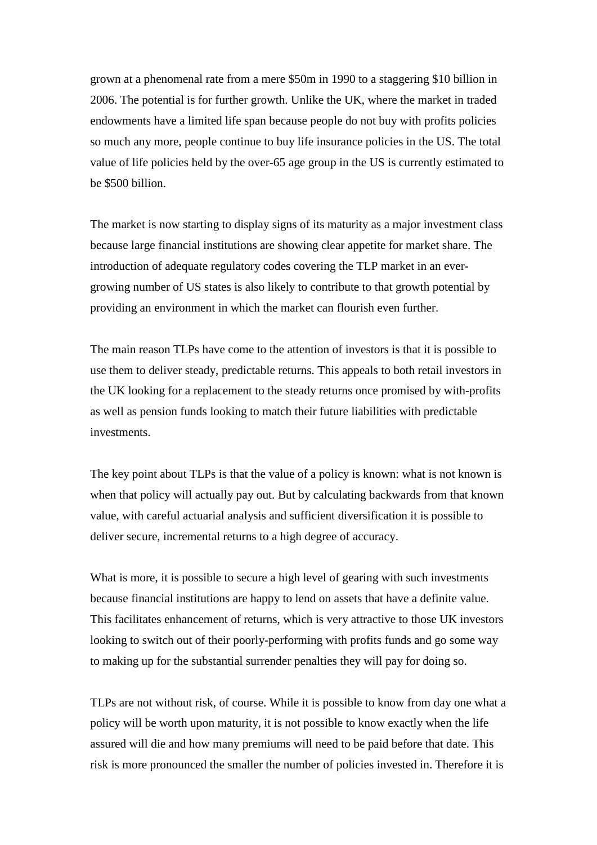grown at a phenomenal rate from a mere \$50m in 1990 to a staggering \$10 billion in 2006. The potential is for further growth. Unlike the UK, where the market in traded endowments have a limited life span because people do not buy with profits policies so much any more, people continue to buy life insurance policies in the US. The total value of life policies held by the over-65 age group in the US is currently estimated to be \$500 billion.

The market is now starting to display signs of its maturity as a major investment class because large financial institutions are showing clear appetite for market share. The introduction of adequate regulatory codes covering the TLP market in an evergrowing number of US states is also likely to contribute to that growth potential by providing an environment in which the market can flourish even further.

The main reason TLPs have come to the attention of investors is that it is possible to use them to deliver steady, predictable returns. This appeals to both retail investors in the UK looking for a replacement to the steady returns once promised by with-profits as well as pension funds looking to match their future liabilities with predictable investments.

The key point about TLPs is that the value of a policy is known: what is not known is when that policy will actually pay out. But by calculating backwards from that known value, with careful actuarial analysis and sufficient diversification it is possible to deliver secure, incremental returns to a high degree of accuracy.

What is more, it is possible to secure a high level of gearing with such investments because financial institutions are happy to lend on assets that have a definite value. This facilitates enhancement of returns, which is very attractive to those UK investors looking to switch out of their poorly-performing with profits funds and go some way to making up for the substantial surrender penalties they will pay for doing so.

TLPs are not without risk, of course. While it is possible to know from day one what a policy will be worth upon maturity, it is not possible to know exactly when the life assured will die and how many premiums will need to be paid before that date. This risk is more pronounced the smaller the number of policies invested in. Therefore it is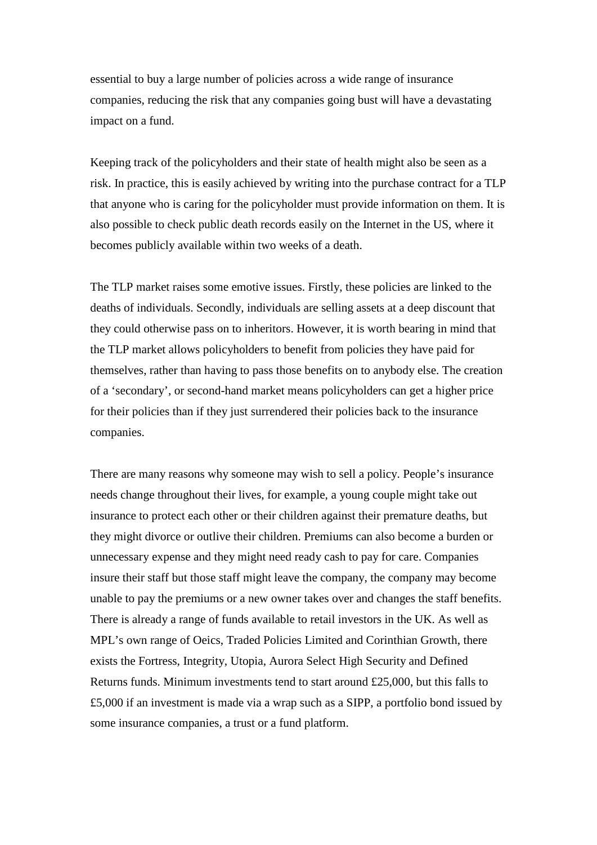essential to buy a large number of policies across a wide range of insurance companies, reducing the risk that any companies going bust will have a devastating impact on a fund.

Keeping track of the policyholders and their state of health might also be seen as a risk. In practice, this is easily achieved by writing into the purchase contract for a TLP that anyone who is caring for the policyholder must provide information on them. It is also possible to check public death records easily on the Internet in the US, where it becomes publicly available within two weeks of a death.

The TLP market raises some emotive issues. Firstly, these policies are linked to the deaths of individuals. Secondly, individuals are selling assets at a deep discount that they could otherwise pass on to inheritors. However, it is worth bearing in mind that the TLP market allows policyholders to benefit from policies they have paid for themselves, rather than having to pass those benefits on to anybody else. The creation of a 'secondary', or second-hand market means policyholders can get a higher price for their policies than if they just surrendered their policies back to the insurance companies.

There are many reasons why someone may wish to sell a policy. People's insurance needs change throughout their lives, for example, a young couple might take out insurance to protect each other or their children against their premature deaths, but they might divorce or outlive their children. Premiums can also become a burden or unnecessary expense and they might need ready cash to pay for care. Companies insure their staff but those staff might leave the company, the company may become unable to pay the premiums or a new owner takes over and changes the staff benefits. There is already a range of funds available to retail investors in the UK. As well as MPL's own range of Oeics, Traded Policies Limited and Corinthian Growth, there exists the Fortress, Integrity, Utopia, Aurora Select High Security and Defined Returns funds. Minimum investments tend to start around  $£25,000$ , but this falls to £5,000 if an investment is made via a wrap such as a SIPP, a portfolio bond issued by some insurance companies, a trust or a fund platform.